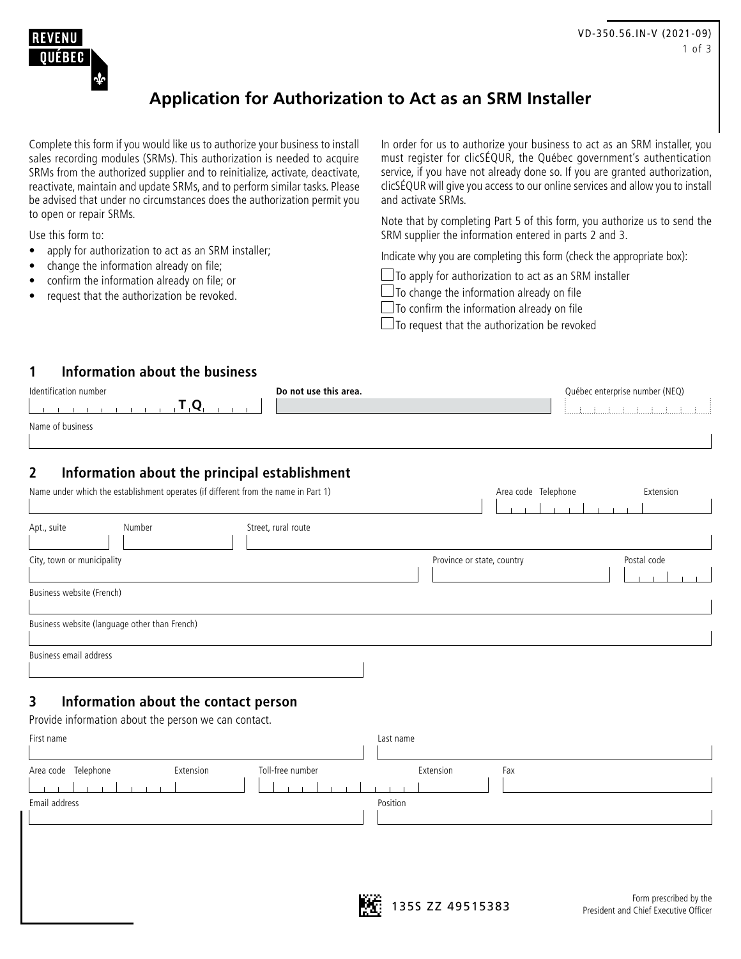

# **Application for Authorization to Act as an SRM Installer**

Complete this form if you would like us to authorize your business to install sales recording modules (SRMs). This authorization is needed to acquire SRMs from the authorized supplier and to reinitialize, activate, deactivate, reactivate, maintain and update SRMs, and to perform similar tasks. Please be advised that under no circumstances does the authorization permit you to open or repair SRMs.

Use this form to:

- apply for authorization to act as an SRM installer;
- change the information already on file;
- confirm the information already on file; or
- request that the authorization be revoked.

In order for us to authorize your business to act as an SRM installer, you must register for clicSÉQUR, the Québec government's authentication service, if you have not already done so. If you are granted authorization, clicSÉQUR will give you access to our online services and allow you to install and activate SRMs.

Note that by completing Part 5 of this form, you authorize us to send the SRM supplier the information entered in parts 2 and 3.

Indicate why you are completing this form (check the appropriate box):

 $\Box$  To apply for authorization to act as an SRM installer

 $\Box$  To change the information already on file

 $\Box$  To confirm the information already on file

 $\Box$  To request that the authorization be revoked

#### **1 Information about the business**

| Identification number | Do not use this area. | Québec enterprise number (NEQ) |
|-----------------------|-----------------------|--------------------------------|
|                       |                       |                                |
| Name of business      |                       |                                |
|                       |                       |                                |

# **2 Information about the principal establishment**

| Name under which the establishment operates (if different from the name in Part 1) |                     | Area code Telephone        | Extension   |
|------------------------------------------------------------------------------------|---------------------|----------------------------|-------------|
| Number<br>Apt., suite                                                              | Street, rural route |                            |             |
| City, town or municipality                                                         |                     | Province or state, country | Postal code |
| Business website (French)                                                          |                     |                            |             |
| Business website (language other than French)                                      |                     |                            |             |
| Business email address                                                             |                     |                            |             |

## **3 Information about the contact person**

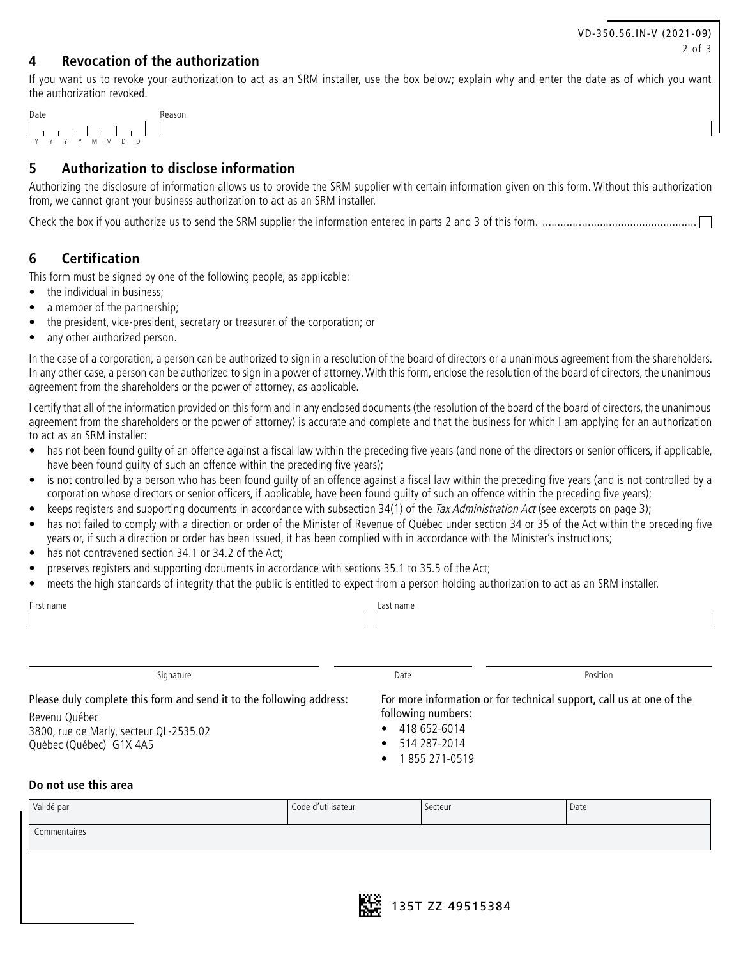## **4 Revocation of the authorization**

If you want us to revoke your authorization to act as an SRM installer, use the box below; explain why and enter the date as of which you want the authorization revoked.

| Date      | Reason |
|-----------|--------|
|           |        |
| YYYY MMDD |        |

# **5 Authorization to disclose information**

Authorizing the disclosure of information allows us to provide the SRM supplier with certain information given on this form. Without this authorization from, we cannot grant your business authorization to act as an SRM installer.

Check the box if you authorize us to send the SRM supplier the information entered in parts 2 and 3 of this form. ...................................................

## **6 Certification**

This form must be signed by one of the following people, as applicable:

- the individual in business;
- a member of the partnership;
- the president, vice-president, secretary or treasurer of the corporation; or
- any other authorized person.

In the case of a corporation, a person can be authorized to sign in a resolution of the board of directors or a unanimous agreement from the shareholders. In any other case, a person can be authorized to sign in a power of attorney. With this form, enclose the resolution of the board of directors, the unanimous agreement from the shareholders or the power of attorney, as applicable.

I certify that all of the information provided on this form and in any enclosed documents (the resolution of the board of the board of directors, the unanimous agreement from the shareholders or the power of attorney) is accurate and complete and that the business for which I am applying for an authorization to act as an SRM installer:

- has not been found quilty of an offence against a fiscal law within the preceding five years (and none of the directors or senior officers, if applicable, have been found quilty of such an offence within the preceding five years);
- is not controlled by a person who has been found guilty of an offence against a fiscal law within the preceding five years (and is not controlled by a corporation whose directors or senior officers, if applicable, have been found guilty of such an offence within the preceding five years);
- keeps registers and supporting documents in accordance with subsection 34(1) of the Tax Administration Act (see excerpts on page 3);
- has not failed to comply with a direction or order of the Minister of Revenue of Québec under section 34 or 35 of the Act within the preceding five years or, if such a direction or order has been issued, it has been complied with in accordance with the Minister's instructions;
- has not contravened section 34.1 or 34.2 of the Act;
- preserves registers and supporting documents in accordance with sections 35.1 to 35.5 of the Act;
- meets the high standards of integrity that the public is entitled to expect from a person holding authorization to act as an SRM installer.

| First name                                                                                                                                                 | Last name                                                                    |                                                                      |
|------------------------------------------------------------------------------------------------------------------------------------------------------------|------------------------------------------------------------------------------|----------------------------------------------------------------------|
| Signature                                                                                                                                                  | Date                                                                         | Position                                                             |
| Please duly complete this form and send it to the following address:<br>Revenu Québec<br>3800, rue de Marly, secteur QL-2535.02<br>Québec (Québec) G1X 4A5 | following numbers:<br>418 652-6014<br>$\bullet$<br>514 287-2014<br>$\bullet$ | For more information or for technical support, call us at one of the |

- 514 287-2014
- 1 855 271-0519

## **Do not use this area**

| Validé par   | Code d'utilisateur | Secteur | Date |
|--------------|--------------------|---------|------|
| Commentaires |                    |         |      |
|              |                    |         |      |
|              |                    |         |      |